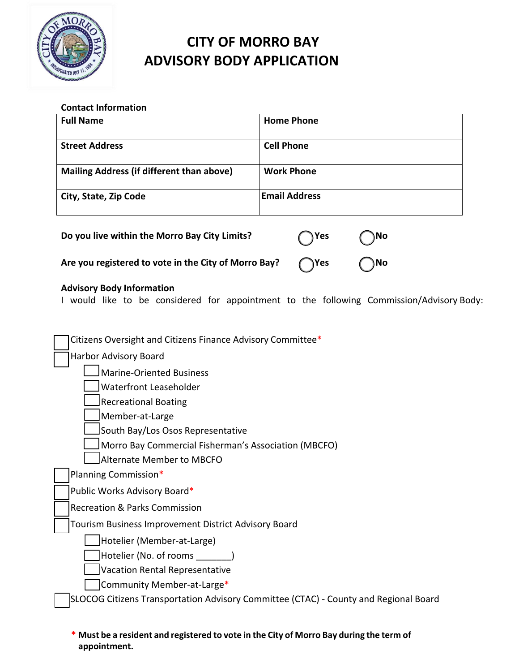

# **CITY OF MORRO BAY ADVISORY BODY APPLICATION**

### **Contact Information**

| <b>Full Name</b>                          | <b>Home Phone</b>    |
|-------------------------------------------|----------------------|
| <b>Street Address</b>                     | <b>Cell Phone</b>    |
| Mailing Address (if different than above) | <b>Work Phone</b>    |
| City, State, Zip Code                     | <b>Email Address</b> |

| Do you live within the Morro Bay City Limits?                      | $\bigcap$ Yes | $\bigcirc$ No |
|--------------------------------------------------------------------|---------------|---------------|
| Are you registered to vote in the City of Morro Bay? $\bigcap$ Yes |               | $\bigcirc$ No |

## **Advisory Body Information**

I would like to be considered for appointment to the following Commission/Advisory Body:

| Citizens Oversight and Citizens Finance Advisory Committee*                          |
|--------------------------------------------------------------------------------------|
| Harbor Advisory Board                                                                |
| <b>Marine-Oriented Business</b>                                                      |
| <b>Waterfront Leaseholder</b>                                                        |
| <b>Recreational Boating</b>                                                          |
| Member-at-Large                                                                      |
| South Bay/Los Osos Representative                                                    |
| Morro Bay Commercial Fisherman's Association (MBCFO)                                 |
| Alternate Member to MBCFO                                                            |
| Planning Commission*                                                                 |
| Public Works Advisory Board*                                                         |
| <b>Recreation &amp; Parks Commission</b>                                             |
| Tourism Business Improvement District Advisory Board                                 |
| Hotelier (Member-at-Large)                                                           |
| Hotelier (No. of rooms )                                                             |
| Vacation Rental Representative                                                       |
| Community Member-at-Large*                                                           |
| SLOCOG Citizens Transportation Advisory Committee (CTAC) - County and Regional Board |
|                                                                                      |

### **\* Must be a resident and registered to vote in the City of Morro Bay during the term of appointment.**